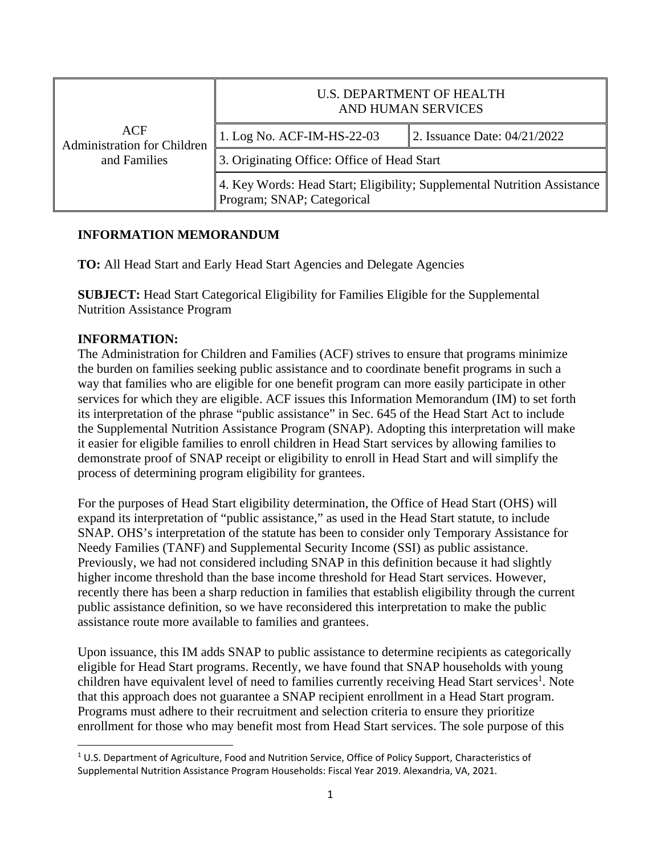| ACF<br><b>Administration for Children</b><br>and Families | <b>U.S. DEPARTMENT OF HEALTH</b><br>AND HUMAN SERVICES                                                 |                              |
|-----------------------------------------------------------|--------------------------------------------------------------------------------------------------------|------------------------------|
|                                                           | 1. Log No. ACF-IM-HS-22-03                                                                             | 2. Issuance Date: 04/21/2022 |
|                                                           | 3. Originating Office: Office of Head Start                                                            |                              |
|                                                           | 4. Key Words: Head Start; Eligibility; Supplemental Nutrition Assistance<br>Program; SNAP; Categorical |                              |

## **INFORMATION MEMORANDUM**

**TO:** All Head Start and Early Head Start Agencies and Delegate Agencies

**SUBJECT:** Head Start Categorical Eligibility for Families Eligible for the Supplemental Nutrition Assistance Program

## **INFORMATION:**

The Administration for Children and Families (ACF) strives to ensure that programs minimize the burden on families seeking public assistance and to coordinate benefit programs in such a way that families who are eligible for one benefit program can more easily participate in other services for which they are eligible. ACF issues this Information Memorandum (IM) to set forth its interpretation of the phrase "public assistance" in Sec. 645 of the Head Start Act to include the Supplemental Nutrition Assistance Program (SNAP). Adopting this interpretation will make it easier for eligible families to enroll children in Head Start services by allowing families to demonstrate proof of SNAP receipt or eligibility to enroll in Head Start and will simplify the process of determining program eligibility for grantees.

For the purposes of Head Start eligibility determination, the Office of Head Start (OHS) will expand its interpretation of "public assistance," as used in the Head Start statute, to include SNAP. OHS's interpretation of the statute has been to consider only Temporary Assistance for Needy Families (TANF) and Supplemental Security Income (SSI) as public assistance. Previously, we had not considered including SNAP in this definition because it had slightly higher income threshold than the base income threshold for Head Start services. However, recently there has been a sharp reduction in families that establish eligibility through the current public assistance definition, so we have reconsidered this interpretation to make the public assistance route more available to families and grantees.

Upon issuance, this IM adds SNAP to public assistance to determine recipients as categorically eligible for Head Start programs. Recently, we have found that SNAP households with young children have equivalent level of need to families currently receiving Head Start services<sup>[1](#page-0-0)</sup>. Note that this approach does not guarantee a SNAP recipient enrollment in a Head Start program. Programs must adhere to their recruitment and selection criteria to ensure they prioritize enrollment for those who may benefit most from Head Start services. The sole purpose of this

<span id="page-0-0"></span> $1$  U.S. Department of Agriculture, Food and Nutrition Service, Office of Policy Support, Characteristics of Supplemental Nutrition Assistance Program Households: Fiscal Year 2019. Alexandria, VA, 2021.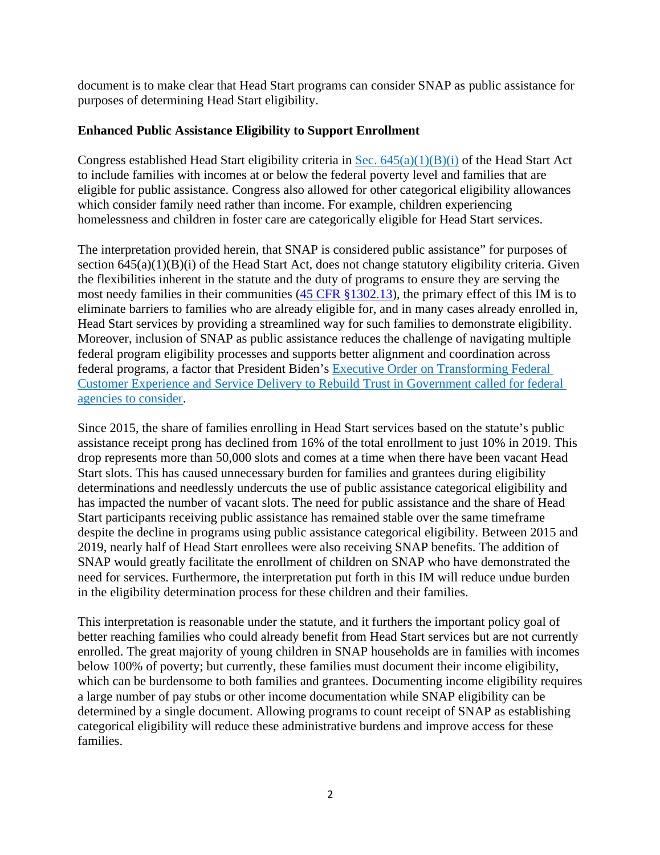document is to make clear that Head Start programs can consider SNAP as public assistance for purposes of determining Head Start eligibility.

## **Enhanced Public Assistance Eligibility to Support Enrollment**

Congress established Head Start eligibility criteria in Sec.  $645(a)(1)(B)(i)$  of the Head Start Act to include families with incomes at or below the federal poverty level and families that are eligible for public assistance. Congress also allowed for other categorical eligibility allowances which consider family need rather than income. For example, children experiencing homelessness and children in foster care are categorically eligible for Head Start services.

The interpretation provided herein, that SNAP is considered public assistance" for purposes of section 645(a)(1)(B)(i) of the Head Start Act, does not change statutory eligibility criteria. Given the flexibilities inherent in the statute and the duty of programs to ensure they are serving the most needy families in their communities ([45 CFR §1302.13\)](https://eclkc.ohs.acf.hhs.gov/policy/45-cfr-chap-xiii/1302-13-recruitment-children), the primary effect of this IM is to eliminate barriers to families who are already eligible for, and in many cases already enrolled in, Head Start services by providing a streamlined way for such families to demonstrate eligibility. Moreover, inclusion of SNAP as public assistance reduces the challenge of navigating multiple federal program eligibility processes and supports better alignment and coordination across federal programs, a factor that President Biden's [Executive Order on Transforming Federal](https://www.whitehouse.gov/briefing-room/presidential-actions/2021/12/13/executive-order-on-transforming-federal-customer-experience-and-service-delivery-to-rebuild-trust-in-government/)  [Customer Experience and Service Delivery to Rebuild Trust in Government](https://www.whitehouse.gov/briefing-room/presidential-actions/2021/12/13/executive-order-on-transforming-federal-customer-experience-and-service-delivery-to-rebuild-trust-in-government/) called for federal agencies to consider.

Since 2015, the share of families enrolling in Head Start services based on the statute's public assistance receipt prong has declined from 16% of the total enrollment to just 10% in 2019. This drop represents more than 50,000 slots and comes at a time when there have been vacant Head Start slots. This has caused unnecessary burden for families and grantees during eligibility determinations and needlessly undercuts the use of public assistance categorical eligibility and has impacted the number of vacant slots. The need for public assistance and the share of Head Start participants receiving public assistance has remained stable over the same timeframe despite the decline in programs using public assistance categorical eligibility. Between 2015 and 2019, nearly half of Head Start enrollees were also receiving SNAP benefits. The addition of SNAP would greatly facilitate the enrollment of children on SNAP who have demonstrated the need for services. Furthermore, the interpretation put forth in this IM will reduce undue burden in the eligibility determination process for these children and their families.

This interpretation is reasonable under the statute, and it furthers the important policy goal of better reaching families who could already benefit from Head Start services but are not currently enrolled. The great majority of young children in SNAP households are in families with incomes below 100% of poverty; but currently, these families must document their income eligibility, which can be burdensome to both families and grantees. Documenting income eligibility requires a large number of pay stubs or other income documentation while SNAP eligibility can be determined by a single document. Allowing programs to count receipt of SNAP as establishing categorical eligibility will reduce these administrative burdens and improve access for these families.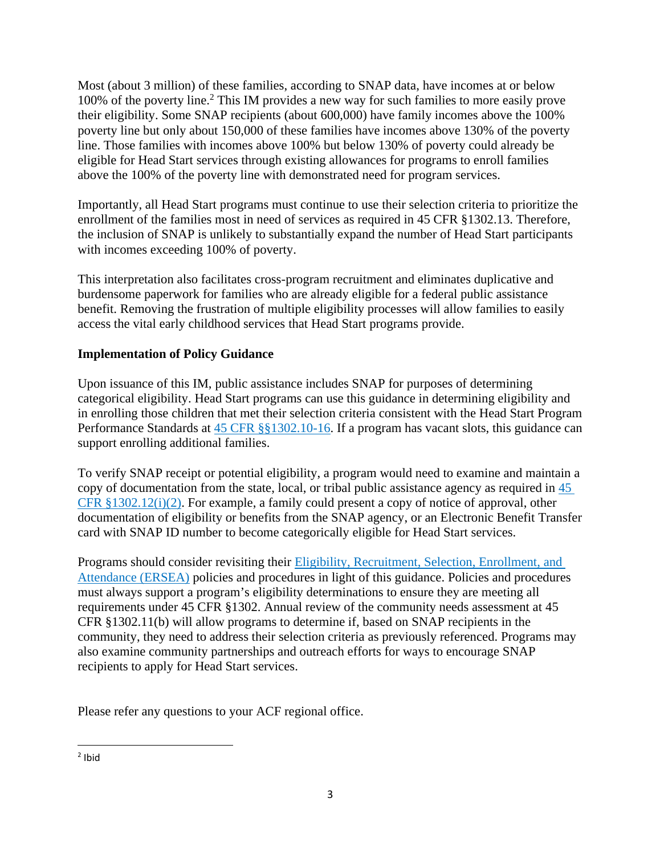Most (about 3 million) of these families, according to SNAP data, have incomes at or below 100% of the poverty line. [2](#page-2-0) This IM provides a new way for such families to more easily prove their eligibility. Some SNAP recipients (about 600,000) have family incomes above the 100% poverty line but only about 150,000 of these families have incomes above 130% of the poverty line. Those families with incomes above 100% but below 130% of poverty could already be eligible for Head Start services through existing allowances for programs to enroll families above the 100% of the poverty line with demonstrated need for program services.

Importantly, all Head Start programs must continue to use their selection criteria to prioritize the enrollment of the families most in need of services as required in 45 CFR §1302.13. Therefore, the inclusion of SNAP is unlikely to substantially expand the number of Head Start participants with incomes exceeding 100% of poverty.

This interpretation also facilitates cross-program recruitment and eliminates duplicative and burdensome paperwork for families who are already eligible for a federal public assistance benefit. Removing the frustration of multiple eligibility processes will allow families to easily access the vital early childhood services that Head Start programs provide.

## **Implementation of Policy Guidance**

Upon issuance of this IM, public assistance includes SNAP for purposes of determining categorical eligibility. Head Start programs can use this guidance in determining eligibility and in enrolling those children that met their selection criteria consistent with the Head Start Program Performance Standards at [45 CFR §§1302.10-16](https://eclkc.ohs.acf.hhs.gov/policy/45-cfr-chap-xiii/1302-subpart-eligibility-recruitment-selection-enrollment-attendance). If a program has vacant slots, this guidance can support enrolling additional families.

To verify SNAP receipt or potential eligibility, a program would need to examine and maintain a copy of documentation from the state, local, or tribal public assistance agency as required in [45](https://eclkc.ohs.acf.hhs.gov/policy/45-cfr-chap-xiii/1302-12-determining-verifying-documenting-eligibility)  [CFR §1302.12\(i\)\(2\)](https://eclkc.ohs.acf.hhs.gov/policy/45-cfr-chap-xiii/1302-12-determining-verifying-documenting-eligibility). For example, a family could present a copy of notice of approval, other documentation of eligibility or benefits from the SNAP agency, or an Electronic Benefit Transfer card with SNAP ID number to become categorically eligible for Head Start services.

Programs should consider revisiting their Eligibility, [Recruitment,](https://eclkc.ohs.acf.hhs.gov/eligibility-ersea) Selection, Enrollment, and [Attendance \(ERSEA\)](https://eclkc.ohs.acf.hhs.gov/eligibility-ersea) policies and procedures in light of this guidance. Policies and procedures must always support a program's eligibility determinations to ensure they are meeting all requirements under 45 CFR §1302. Annual review of the community needs assessment at 45 CFR §1302.11(b) will allow programs to determine if, based on SNAP recipients in the community, they need to address their selection criteria as previously referenced. Programs may also examine community partnerships and outreach efforts for ways to encourage SNAP recipients to apply for Head Start services.

Please refer any questions to your ACF regional office.

<span id="page-2-0"></span><sup>&</sup>lt;sup>2</sup> Ibid